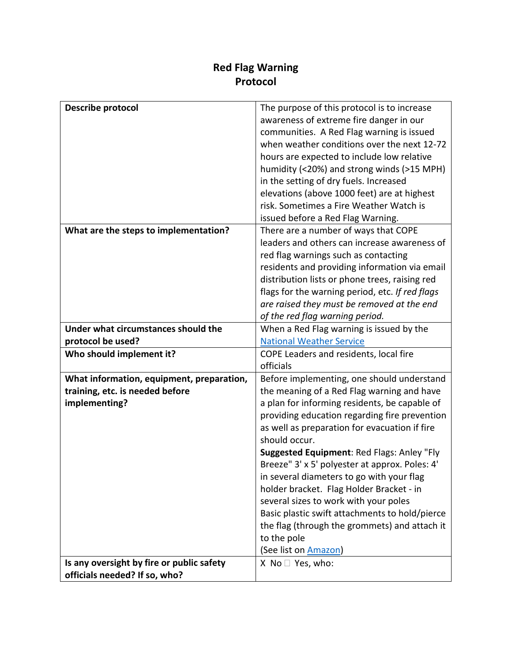## **Red Flag Warning Protocol**

| Describe protocol                                                          | The purpose of this protocol is to increase     |
|----------------------------------------------------------------------------|-------------------------------------------------|
|                                                                            | awareness of extreme fire danger in our         |
|                                                                            | communities. A Red Flag warning is issued       |
|                                                                            | when weather conditions over the next 12-72     |
|                                                                            | hours are expected to include low relative      |
|                                                                            | humidity (<20%) and strong winds (>15 MPH)      |
|                                                                            | in the setting of dry fuels. Increased          |
|                                                                            | elevations (above 1000 feet) are at highest     |
|                                                                            | risk. Sometimes a Fire Weather Watch is         |
|                                                                            | issued before a Red Flag Warning.               |
| What are the steps to implementation?                                      | There are a number of ways that COPE            |
|                                                                            | leaders and others can increase awareness of    |
|                                                                            | red flag warnings such as contacting            |
|                                                                            | residents and providing information via email   |
|                                                                            | distribution lists or phone trees, raising red  |
|                                                                            | flags for the warning period, etc. If red flags |
|                                                                            | are raised they must be removed at the end      |
|                                                                            | of the red flag warning period.                 |
| Under what circumstances should the                                        | When a Red Flag warning is issued by the        |
| protocol be used?                                                          | <b>National Weather Service</b>                 |
| Who should implement it?                                                   | COPE Leaders and residents, local fire          |
|                                                                            | officials                                       |
| What information, equipment, preparation,                                  | Before implementing, one should understand      |
| training, etc. is needed before                                            | the meaning of a Red Flag warning and have      |
| implementing?                                                              | a plan for informing residents, be capable of   |
|                                                                            | providing education regarding fire prevention   |
|                                                                            | as well as preparation for evacuation if fire   |
|                                                                            | should occur.                                   |
|                                                                            | Suggested Equipment: Red Flags: Anley "Fly      |
|                                                                            | Breeze" 3' x 5' polyester at approx. Poles: 4'  |
|                                                                            | in several diameters to go with your flag       |
|                                                                            | holder bracket. Flag Holder Bracket - in        |
|                                                                            | several sizes to work with your poles           |
|                                                                            | Basic plastic swift attachments to hold/pierce  |
|                                                                            | the flag (through the grommets) and attach it   |
|                                                                            | to the pole                                     |
|                                                                            | (See list on <b>Amazon</b> )                    |
| Is any oversight by fire or public safety<br>officials needed? If so, who? | $X$ No $\Box$ Yes, who:                         |
|                                                                            |                                                 |